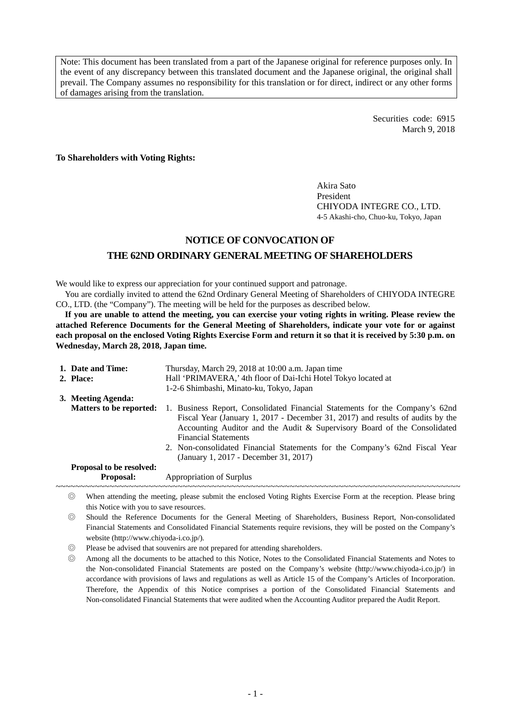Note: This document has been translated from a part of the Japanese original for reference purposes only. In the event of any discrepancy between this translated document and the Japanese original, the original shall prevail. The Company assumes no responsibility for this translation or for direct, indirect or any other forms of damages arising from the translation.

> Securities code: 6915 March 9, 2018

**To Shareholders with Voting Rights:** 

Akira Sato President CHIYODA INTEGRE CO., LTD. 4-5 Akashi-cho, Chuo-ku, Tokyo, Japan

## **NOTICE OF CONVOCATION OF THE 62ND ORDINARY GENERAL MEETING OF SHAREHOLDERS**

We would like to express our appreciation for your continued support and patronage.

You are cordially invited to attend the 62nd Ordinary General Meeting of Shareholders of CHIYODA INTEGRE CO., LTD. (the "Company"). The meeting will be held for the purposes as described below.

**If you are unable to attend the meeting, you can exercise your voting rights in writing. Please review the attached Reference Documents for the General Meeting of Shareholders, indicate your vote for or against each proposal on the enclosed Voting Rights Exercise Form and return it so that it is received by 5:30 p.m. on Wednesday, March 28, 2018, Japan time.** 

| 1. Date and Time:               | Thursday, March 29, 2018 at 10:00 a.m. Japan time                                                                                                                                                                                                                                                                                                                                                 |
|---------------------------------|---------------------------------------------------------------------------------------------------------------------------------------------------------------------------------------------------------------------------------------------------------------------------------------------------------------------------------------------------------------------------------------------------|
| 2. Place:                       | Hall 'PRIMAVERA,' 4th floor of Dai-Ichi Hotel Tokyo located at                                                                                                                                                                                                                                                                                                                                    |
|                                 | 1-2-6 Shimbashi, Minato-ku, Tokyo, Japan                                                                                                                                                                                                                                                                                                                                                          |
| 3. Meeting Agenda:              |                                                                                                                                                                                                                                                                                                                                                                                                   |
| <b>Matters to be reported:</b>  | 1. Business Report, Consolidated Financial Statements for the Company's 62nd<br>Fiscal Year (January 1, 2017 - December 31, 2017) and results of audits by the<br>Accounting Auditor and the Audit & Supervisory Board of the Consolidated<br><b>Financial Statements</b><br>2. Non-consolidated Financial Statements for the Company's 62nd Fiscal Year<br>(January 1, 2017 - December 31, 2017) |
| <b>Proposal to be resolved:</b> |                                                                                                                                                                                                                                                                                                                                                                                                   |
| <b>Proposal:</b>                | Appropriation of Surplus                                                                                                                                                                                                                                                                                                                                                                          |

◎ When attending the meeting, please submit the enclosed Voting Rights Exercise Form at the reception. Please bring this Notice with you to save resources.

◎ Should the Reference Documents for the General Meeting of Shareholders, Business Report, Non-consolidated Financial Statements and Consolidated Financial Statements require revisions, they will be posted on the Company's website (http://www.chiyoda-i.co.jp/).

◎ Please be advised that souvenirs are not prepared for attending shareholders.

◎ Among all the documents to be attached to this Notice, Notes to the Consolidated Financial Statements and Notes to the Non-consolidated Financial Statements are posted on the Company's website (http://www.chiyoda-i.co.jp/) in accordance with provisions of laws and regulations as well as Article 15 of the Company's Articles of Incorporation. Therefore, the Appendix of this Notice comprises a portion of the Consolidated Financial Statements and Non-consolidated Financial Statements that were audited when the Accounting Auditor prepared the Audit Report.